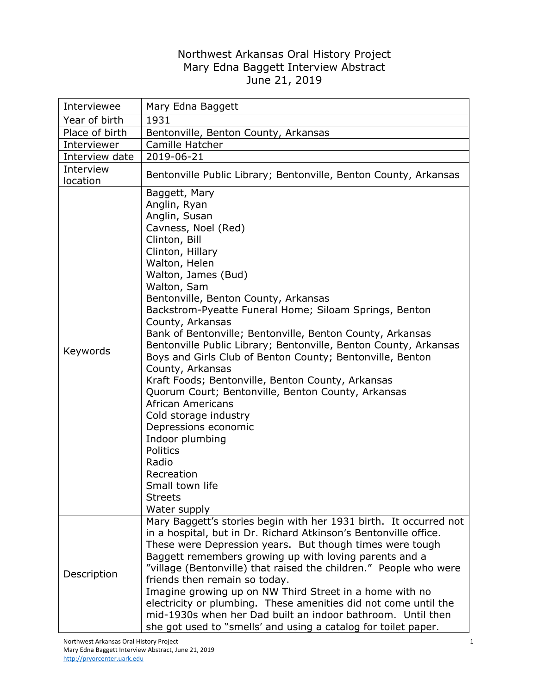## Northwest Arkansas Oral History Project Mary Edna Baggett Interview Abstract June 21, 2019

| Interviewee           | Mary Edna Baggett                                                                                                                                                                                                                                                                                                                                                                                                                                                                                                                                                                                                                                                                                                                                                                                            |
|-----------------------|--------------------------------------------------------------------------------------------------------------------------------------------------------------------------------------------------------------------------------------------------------------------------------------------------------------------------------------------------------------------------------------------------------------------------------------------------------------------------------------------------------------------------------------------------------------------------------------------------------------------------------------------------------------------------------------------------------------------------------------------------------------------------------------------------------------|
| Year of birth         | 1931                                                                                                                                                                                                                                                                                                                                                                                                                                                                                                                                                                                                                                                                                                                                                                                                         |
| Place of birth        | Bentonville, Benton County, Arkansas                                                                                                                                                                                                                                                                                                                                                                                                                                                                                                                                                                                                                                                                                                                                                                         |
| Interviewer           | Camille Hatcher                                                                                                                                                                                                                                                                                                                                                                                                                                                                                                                                                                                                                                                                                                                                                                                              |
| Interview date        | 2019-06-21                                                                                                                                                                                                                                                                                                                                                                                                                                                                                                                                                                                                                                                                                                                                                                                                   |
| Interview<br>location | Bentonville Public Library; Bentonville, Benton County, Arkansas                                                                                                                                                                                                                                                                                                                                                                                                                                                                                                                                                                                                                                                                                                                                             |
| Keywords              | Baggett, Mary<br>Anglin, Ryan<br>Anglin, Susan<br>Cavness, Noel (Red)<br>Clinton, Bill<br>Clinton, Hillary<br>Walton, Helen<br>Walton, James (Bud)<br>Walton, Sam<br>Bentonville, Benton County, Arkansas<br>Backstrom-Pyeatte Funeral Home; Siloam Springs, Benton<br>County, Arkansas<br>Bank of Bentonville; Bentonville, Benton County, Arkansas<br>Bentonville Public Library; Bentonville, Benton County, Arkansas<br>Boys and Girls Club of Benton County; Bentonville, Benton<br>County, Arkansas<br>Kraft Foods; Bentonville, Benton County, Arkansas<br>Quorum Court; Bentonville, Benton County, Arkansas<br><b>African Americans</b><br>Cold storage industry<br>Depressions economic<br>Indoor plumbing<br>Politics<br>Radio<br>Recreation<br>Small town life<br><b>Streets</b><br>Water supply |
| Description           | Mary Baggett's stories begin with her 1931 birth. It occurred not<br>in a hospital, but in Dr. Richard Atkinson's Bentonville office.<br>These were Depression years. But though times were tough<br>Baggett remembers growing up with loving parents and a<br>"village (Bentonville) that raised the children." People who were<br>friends then remain so today.<br>Imagine growing up on NW Third Street in a home with no                                                                                                                                                                                                                                                                                                                                                                                 |
|                       | electricity or plumbing. These amenities did not come until the<br>mid-1930s when her Dad built an indoor bathroom. Until then<br>she got used to "smells' and using a catalog for toilet paper.                                                                                                                                                                                                                                                                                                                                                                                                                                                                                                                                                                                                             |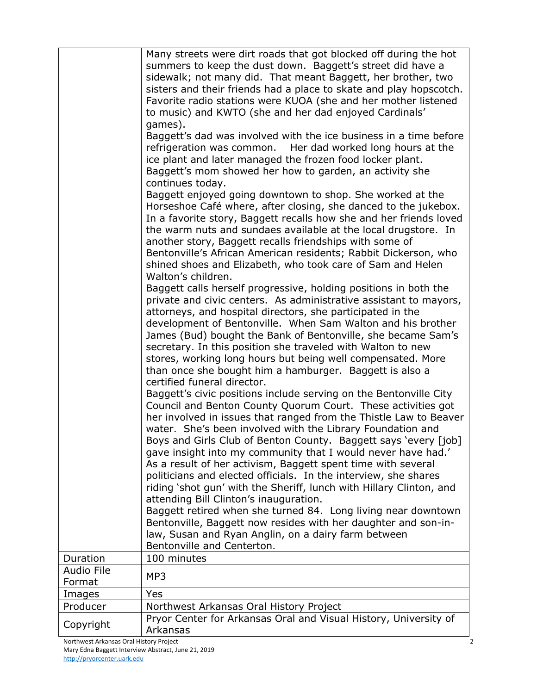|                             | Many streets were dirt roads that got blocked off during the hot<br>summers to keep the dust down. Baggett's street did have a<br>sidewalk; not many did. That meant Baggett, her brother, two                                                                                                                                                                                                                                                                                                                                                                                                                                                                                                                                                              |
|-----------------------------|-------------------------------------------------------------------------------------------------------------------------------------------------------------------------------------------------------------------------------------------------------------------------------------------------------------------------------------------------------------------------------------------------------------------------------------------------------------------------------------------------------------------------------------------------------------------------------------------------------------------------------------------------------------------------------------------------------------------------------------------------------------|
|                             | sisters and their friends had a place to skate and play hopscotch.<br>Favorite radio stations were KUOA (she and her mother listened<br>to music) and KWTO (she and her dad enjoyed Cardinals'                                                                                                                                                                                                                                                                                                                                                                                                                                                                                                                                                              |
|                             | games).<br>Baggett's dad was involved with the ice business in a time before<br>refrigeration was common. Her dad worked long hours at the<br>ice plant and later managed the frozen food locker plant.<br>Baggett's mom showed her how to garden, an activity she<br>continues today.                                                                                                                                                                                                                                                                                                                                                                                                                                                                      |
|                             | Baggett enjoyed going downtown to shop. She worked at the<br>Horseshoe Café where, after closing, she danced to the jukebox.<br>In a favorite story, Baggett recalls how she and her friends loved<br>the warm nuts and sundaes available at the local drugstore. In<br>another story, Baggett recalls friendships with some of<br>Bentonville's African American residents; Rabbit Dickerson, who<br>shined shoes and Elizabeth, who took care of Sam and Helen<br>Walton's children.                                                                                                                                                                                                                                                                      |
|                             | Baggett calls herself progressive, holding positions in both the<br>private and civic centers. As administrative assistant to mayors,<br>attorneys, and hospital directors, she participated in the<br>development of Bentonville. When Sam Walton and his brother<br>James (Bud) bought the Bank of Bentonville, she became Sam's<br>secretary. In this position she traveled with Walton to new<br>stores, working long hours but being well compensated. More<br>than once she bought him a hamburger. Baggett is also a                                                                                                                                                                                                                                 |
|                             | certified funeral director.<br>Baggett's civic positions include serving on the Bentonville City<br>Council and Benton County Quorum Court. These activities got<br>her involved in issues that ranged from the Thistle Law to Beaver<br>water. She's been involved with the Library Foundation and<br>Boys and Girls Club of Benton County. Baggett says 'every [job]<br>gave insight into my community that I would never have had.'<br>As a result of her activism, Baggett spent time with several<br>politicians and elected officials. In the interview, she shares<br>riding 'shot gun' with the Sheriff, lunch with Hillary Clinton, and<br>attending Bill Clinton's inauguration.<br>Baggett retired when she turned 84. Long living near downtown |
|                             | Bentonville, Baggett now resides with her daughter and son-in-<br>law, Susan and Ryan Anglin, on a dairy farm between<br>Bentonville and Centerton.                                                                                                                                                                                                                                                                                                                                                                                                                                                                                                                                                                                                         |
| Duration                    | 100 minutes                                                                                                                                                                                                                                                                                                                                                                                                                                                                                                                                                                                                                                                                                                                                                 |
| <b>Audio File</b><br>Format | MP3                                                                                                                                                                                                                                                                                                                                                                                                                                                                                                                                                                                                                                                                                                                                                         |
| Images                      | Yes                                                                                                                                                                                                                                                                                                                                                                                                                                                                                                                                                                                                                                                                                                                                                         |
| Producer                    | Northwest Arkansas Oral History Project                                                                                                                                                                                                                                                                                                                                                                                                                                                                                                                                                                                                                                                                                                                     |
| Copyright                   | Pryor Center for Arkansas Oral and Visual History, University of<br>Arkansas                                                                                                                                                                                                                                                                                                                                                                                                                                                                                                                                                                                                                                                                                |
|                             |                                                                                                                                                                                                                                                                                                                                                                                                                                                                                                                                                                                                                                                                                                                                                             |